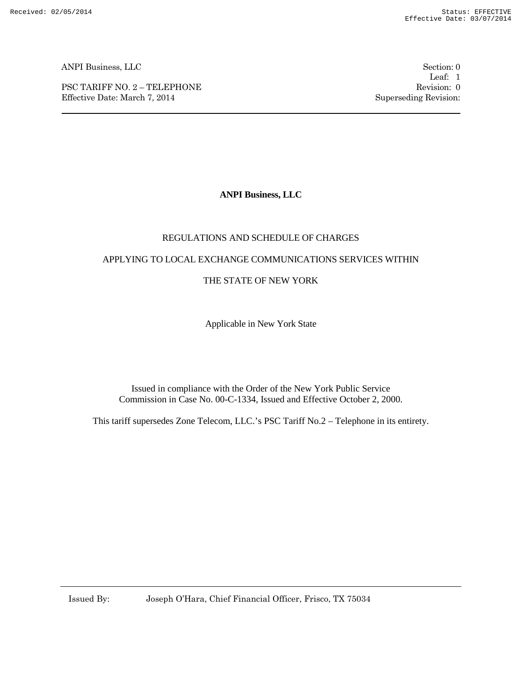PSC TARIFF NO. 2 – TELEPHONE Revision: 0 Effective Date: March 7, 2014 Superseding Revision:

Leaf: 1

**ANPI Business, LLC**

# REGULATIONS AND SCHEDULE OF CHARGES

## APPLYING TO LOCAL EXCHANGE COMMUNICATIONS SERVICES WITHIN

## THE STATE OF NEW YORK

Applicable in New York State

Issued in compliance with the Order of the New York Public Service Commission in Case No. 00-C-1334, Issued and Effective October 2, 2000.

This tariff supersedes Zone Telecom, LLC.'s PSC Tariff No.2 – Telephone in its entirety.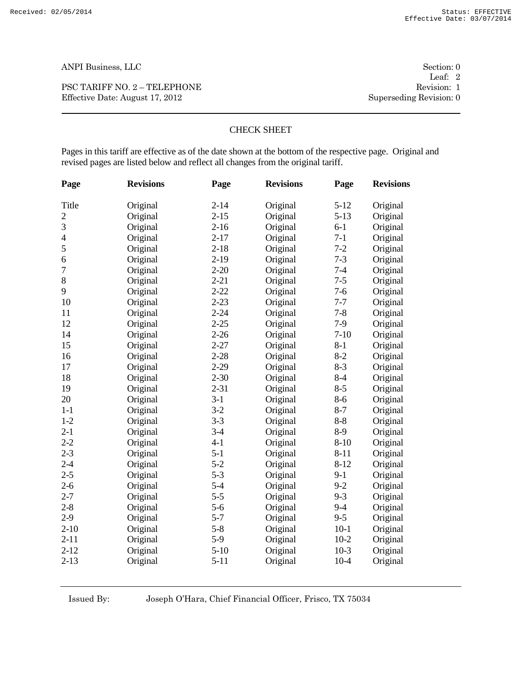PSC TARIFF NO. 2 – TELEPHONE Effective Date: August 17, 2012 Superseding Revision: 0

Leaf: 2<br>Revision: 1

### CHECK SHEET

Pages in this tariff are effective as of the date shown at the bottom of the respective page. Original and revised pages are listed below and reflect all changes from the original tariff.

| Page           | <b>Revisions</b> | Page     | <b>Revisions</b> | Page     | <b>Revisions</b> |
|----------------|------------------|----------|------------------|----------|------------------|
| Title          | Original         | $2 - 14$ | Original         | $5 - 12$ | Original         |
| $\mathbf{2}$   | Original         | $2 - 15$ | Original         | $5-13$   | Original         |
| 3              | Original         | $2-16$   | Original         | $6-1$    | Original         |
| $\overline{4}$ | Original         | $2 - 17$ | Original         | $7-1$    | Original         |
| 5              | Original         | $2 - 18$ | Original         | $7 - 2$  | Original         |
| 6              | Original         | $2-19$   | Original         | $7 - 3$  | Original         |
| $\overline{7}$ | Original         | $2 - 20$ | Original         | $7 - 4$  | Original         |
| 8              | Original         | $2 - 21$ | Original         | $7 - 5$  | Original         |
| 9              | Original         | $2 - 22$ | Original         | $7 - 6$  | Original         |
| 10             | Original         | $2 - 23$ | Original         | $7 - 7$  | Original         |
| 11             | Original         | $2 - 24$ | Original         | $7 - 8$  | Original         |
| 12             | Original         | $2 - 25$ | Original         | $7-9$    | Original         |
| 14             | Original         | $2 - 26$ | Original         | $7 - 10$ | Original         |
| 15             | Original         | $2 - 27$ | Original         | $8 - 1$  | Original         |
| 16             | Original         | $2 - 28$ | Original         | $8-2$    | Original         |
| 17             | Original         | $2 - 29$ | Original         | $8-3$    | Original         |
| 18             | Original         | $2 - 30$ | Original         | $8-4$    | Original         |
| 19             | Original         | $2 - 31$ | Original         | $8 - 5$  | Original         |
| 20             | Original         | $3-1$    | Original         | $8 - 6$  | Original         |
| $1-1$          | Original         | $3-2$    | Original         | $8-7$    | Original         |
| $1 - 2$        | Original         | $3 - 3$  | Original         | $8 - 8$  | Original         |
| $2 - 1$        | Original         | $3-4$    | Original         | 8-9      | Original         |
| $2 - 2$        | Original         | $4 - 1$  | Original         | $8 - 10$ | Original         |
| $2 - 3$        | Original         | $5-1$    | Original         | $8 - 11$ | Original         |
| $2 - 4$        | Original         | $5-2$    | Original         | $8 - 12$ | Original         |
| $2 - 5$        | Original         | $5 - 3$  | Original         | $9-1$    | Original         |
| $2 - 6$        | Original         | $5-4$    | Original         | $9 - 2$  | Original         |
| $2 - 7$        | Original         | $5 - 5$  | Original         | $9 - 3$  | Original         |
| $2 - 8$        | Original         | $5-6$    | Original         | $9-4$    | Original         |
| $2-9$          | Original         | $5 - 7$  | Original         | $9 - 5$  | Original         |
| $2 - 10$       | Original         | $5 - 8$  | Original         | $10-1$   | Original         |
| $2 - 11$       | Original         | $5-9$    | Original         | $10-2$   | Original         |
| $2 - 12$       | Original         | $5 - 10$ | Original         | $10-3$   | Original         |
| $2 - 13$       | Original         | $5 - 11$ | Original         | $10 - 4$ | Original         |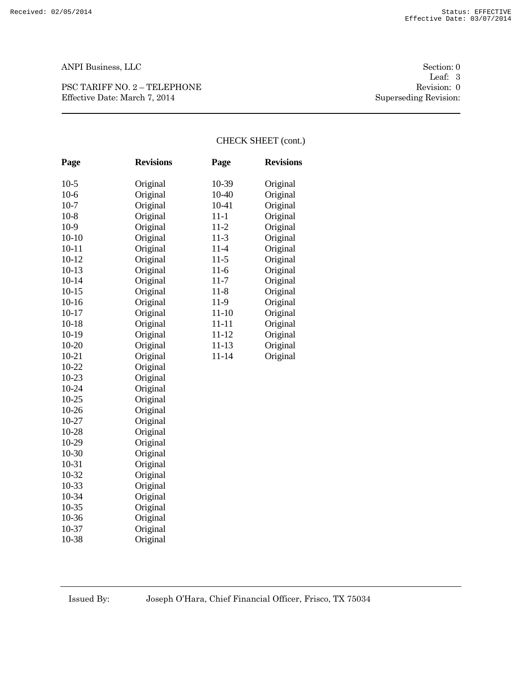PSC TARIFF NO. 2 – TELEPHONE Revision: 0 Effective Date: March 7, 2014 Superseding Revision:

Leaf: 3

# CHECK SHEET (cont.)

| Page      | <b>Revisions</b> | Page      | <b>Revisions</b> |
|-----------|------------------|-----------|------------------|
| $10-5$    | Original         | 10-39     | Original         |
| $10-6$    | Original         | 10-40     | Original         |
| $10-7$    | Original         | 10-41     | Original         |
| $10-8$    | Original         | $11 - 1$  | Original         |
| $10-9$    | Original         | $11-2$    | Original         |
| $10 - 10$ | Original         | $11-3$    | Original         |
| $10 - 11$ | Original         | $11-4$    | Original         |
| $10 - 12$ | Original         | $11-5$    | Original         |
| $10-13$   | Original         | $11-6$    | Original         |
| $10 - 14$ | Original         | $11 - 7$  | Original         |
| $10-15$   | Original         | $11 - 8$  | Original         |
| $10 - 16$ | Original         | 11-9      | Original         |
| $10-17$   | Original         | $11 - 10$ | Original         |
| 10-18     | Original         | 11-11     | Original         |
| 10-19     | Original         | 11-12     | Original         |
| $10 - 20$ | Original         | 11-13     | Original         |
| $10-21$   | Original         | 11-14     | Original         |
| 10-22     | Original         |           |                  |
| $10-23$   | Original         |           |                  |
| 10-24     | Original         |           |                  |
| $10-25$   | Original         |           |                  |
| 10-26     | Original         |           |                  |
| 10-27     | Original         |           |                  |
| 10-28     | Original         |           |                  |
| 10-29     | Original         |           |                  |
| 10-30     | Original         |           |                  |
| 10-31     | Original         |           |                  |
| 10-32     | Original         |           |                  |
| 10-33     | Original         |           |                  |
| 10-34     | Original         |           |                  |
| 10-35     | Original         |           |                  |
| 10-36     | Original         |           |                  |
| 10-37     | Original         |           |                  |
| 10-38     | Original         |           |                  |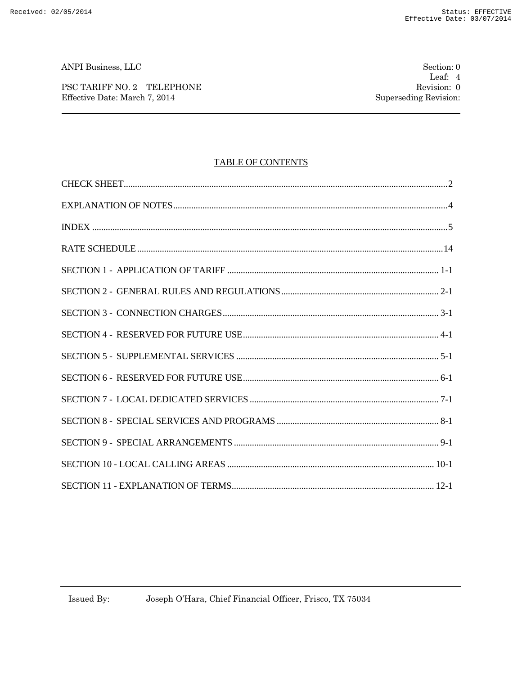ANPI Business, LLC

PSC TARIFF NO. 2 - TELEPHONE Effective Date: March 7, 2014

Section: 0 Leaf: 4 Revision: 0 Superseding Revision:

## **TABLE OF CONTENTS**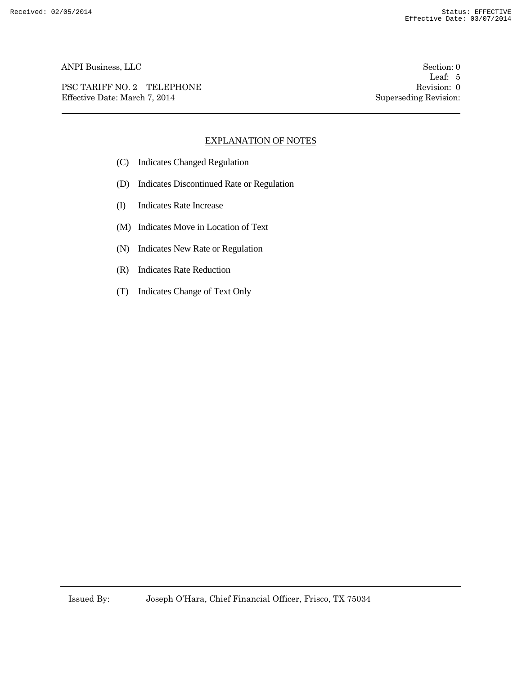PSC TARIFF NO. 2 – TELEPHONE Revision: 0 Effective Date: March 7, 2014 Superseding Revision:

Leaf: 5

# EXPLANATION OF NOTES

- (C) Indicates Changed Regulation
- (D) Indicates Discontinued Rate or Regulation
- (I) Indicates Rate Increase
- (M) Indicates Move in Location of Text
- (N) Indicates New Rate or Regulation
- (R) Indicates Rate Reduction
- (T) Indicates Change of Text Only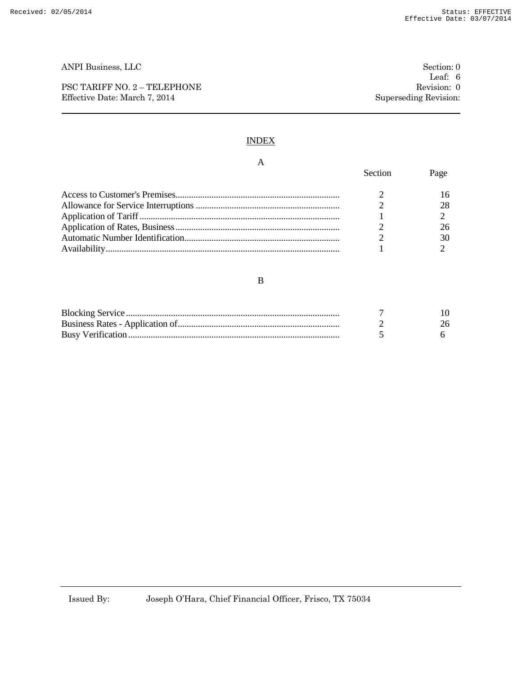PSC TARIFF NO. 2 – TELEPHONE Revision: 0 Effective Date: March 7, 2014 Superseding Revision:

# INDEX

# A

| Section | Page |
|---------|------|
|         |      |
|         |      |
|         |      |
|         |      |
|         |      |
|         |      |

### $\, {\bf B}$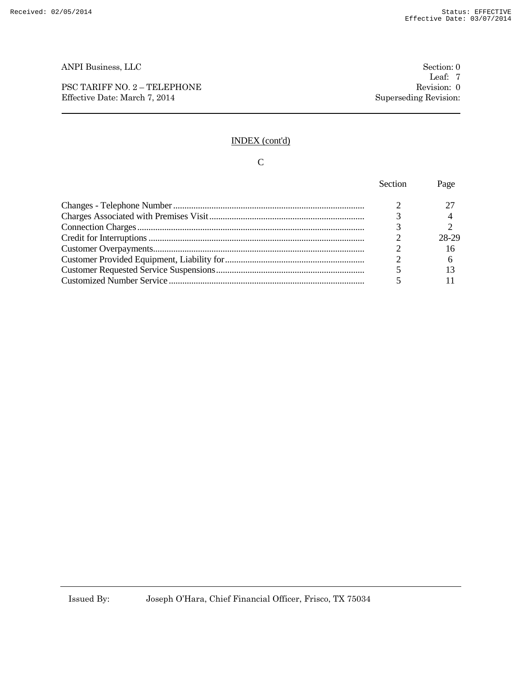PSC TARIFF NO. 2 – TELEPHONE Revision: 0 Effective Date: March 7, 2014 Superseding Revision:

Leaf: 7

# INDEX (cont'd)

C

| Section | Page  |
|---------|-------|
|         |       |
|         |       |
|         |       |
|         | 28-29 |
|         | 16    |
|         |       |
|         |       |
|         |       |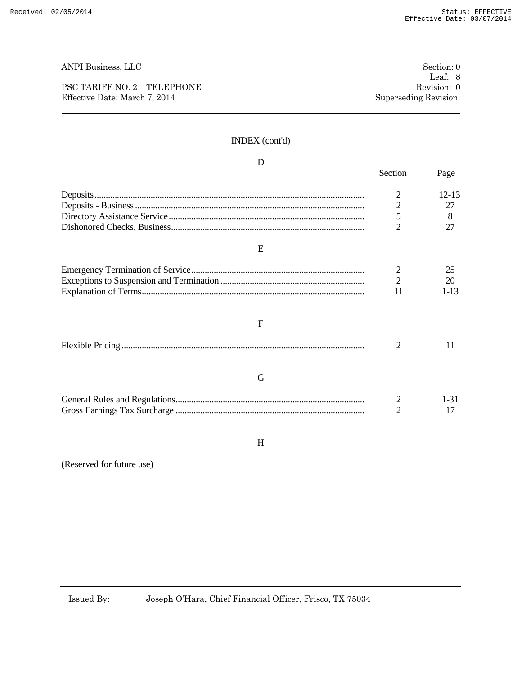| ANPI Business. LLC             | Section: 0            |
|--------------------------------|-----------------------|
|                                | Leaf: 8               |
| PSC TARIFF NO. 2 – TELEPHONE . | Revision: 0           |
| Effective Date: March 7. 2014  | Superseding Revision: |
|                                |                       |

# INDEX (cont'd)

| D |                                  |                |
|---|----------------------------------|----------------|
|   | Section                          | Page           |
|   | 2                                | $12 - 13$      |
|   | $\overline{2}$                   | 27             |
|   | 5                                | 8              |
|   | $\overline{2}$                   | 27             |
| E |                                  |                |
|   | $\overline{2}$                   | 25             |
|   | $\overline{2}$                   | 20             |
|   | 11                               | $1 - 13$       |
| F |                                  |                |
|   | 2                                | 11             |
| G |                                  |                |
|   | $\overline{2}$<br>$\overline{2}$ | $1 - 31$<br>17 |

# $\,$  H

(Reserved for future use)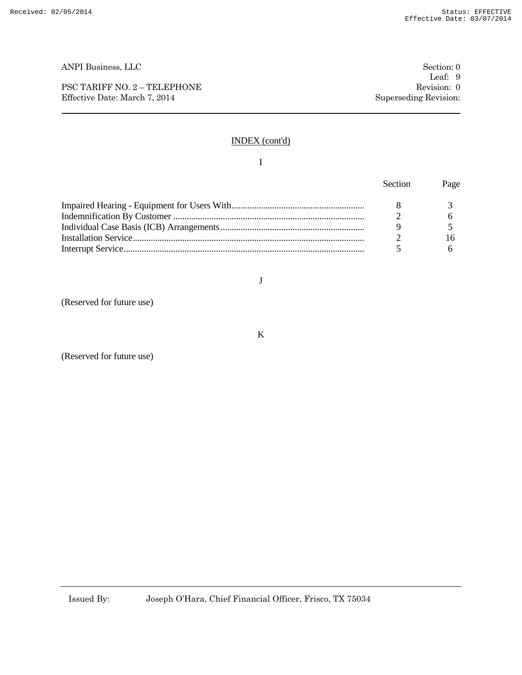PSC TARIFF NO. 2 – TELEPHONE Revision: 0 Effective Date: March 7, 2014 Superseding Revision:

# INDEX (cont'd)

## I

| <b>Section</b> | Page |
|----------------|------|
|                |      |
|                |      |
|                |      |
|                |      |
|                |      |

### J

(Reserved for future use)

K

(Reserved for future use)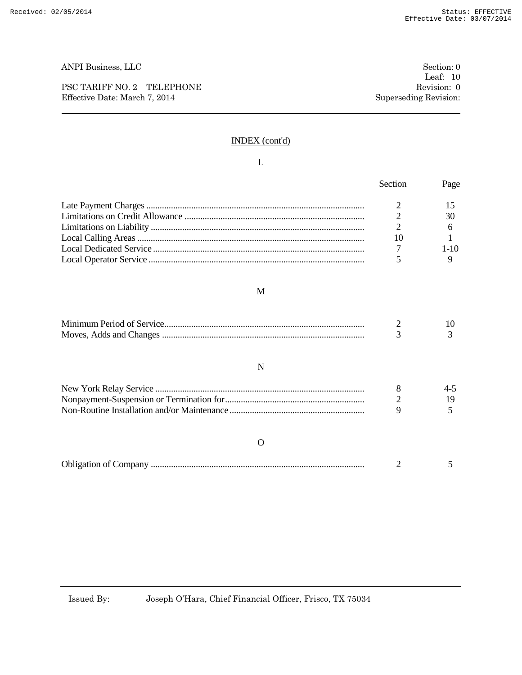ANPI Business, LLC Section: 0 Leaf: 10 PSC TARIFF NO. 2 – TELEPHONE Revision: 0 Effective Date: March 7, 2014 Superseding Revision:

# INDEX (cont'd)

### L

| Section | Page   |
|---------|--------|
|         |        |
|         | 30     |
|         |        |
|         |        |
|         | $1-10$ |
|         |        |
|         |        |
|         |        |

| Moves, Adds and Changes |  |
|-------------------------|--|

### N

|  | $4-5$ |
|--|-------|
|  | 19.   |
|  |       |
|  |       |

# O

| <b>Obligation of Company</b> |  |
|------------------------------|--|
|------------------------------|--|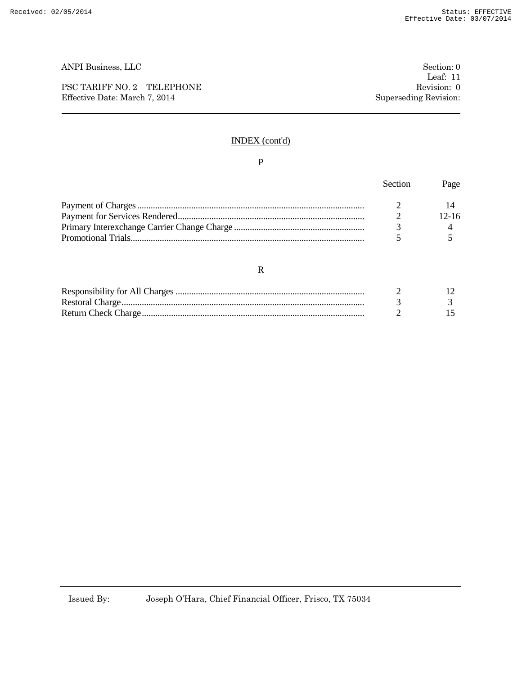PSC TARIFF NO. 2 – TELEPHONE Revision: 0 Effective Date: March 7, 2014 Superseding Revision:

# INDEX (cont'd)

P

| Page    |
|---------|
|         |
| $12-16$ |
|         |
|         |

### R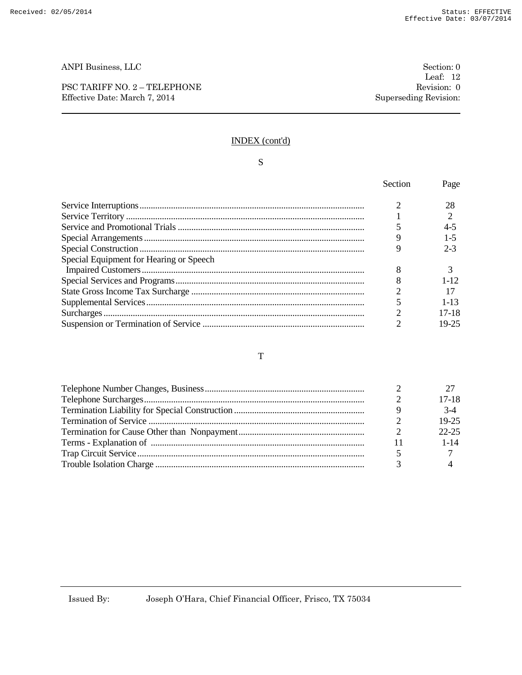PSC TARIFF NO. 2 – TELEPHONE Revision: 0 Effective Date: March 7, 2014 Superseding Revision:

# INDEX (cont'd)

# S

|                                         | Section | Page     |
|-----------------------------------------|---------|----------|
|                                         |         | 28       |
|                                         |         |          |
|                                         |         | $4 - 5$  |
|                                         |         | $1 - 5$  |
|                                         |         | $2 - 3$  |
| Special Equipment for Hearing or Speech |         |          |
|                                         |         |          |
|                                         |         | $1 - 12$ |
|                                         |         |          |
|                                         |         | $1 - 13$ |
|                                         |         | $17-18$  |
|                                         |         | 19-25    |

### T

|  |  | $17-18$   |
|--|--|-----------|
|  |  | $3-4$     |
|  |  | $19 - 25$ |
|  |  | $22 - 25$ |
|  |  | $1 - 14$  |
|  |  |           |
|  |  |           |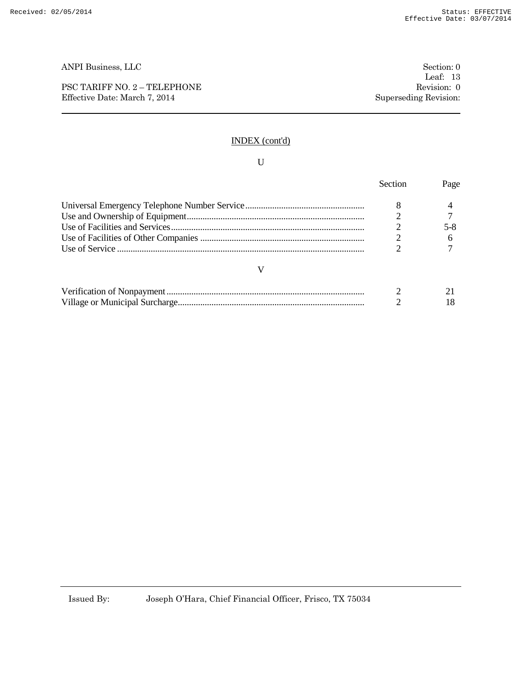PSC TARIFF NO. 2 – TELEPHONE Revision: 0 Effective Date: March 7, 2014 Superseding Revision:

# INDEX (cont'd)

### U

| Section | Page |
|---------|------|
|         |      |
|         |      |
|         | 5-8  |
|         |      |
|         |      |
|         |      |

| Village or Municipal Surcharge |  |
|--------------------------------|--|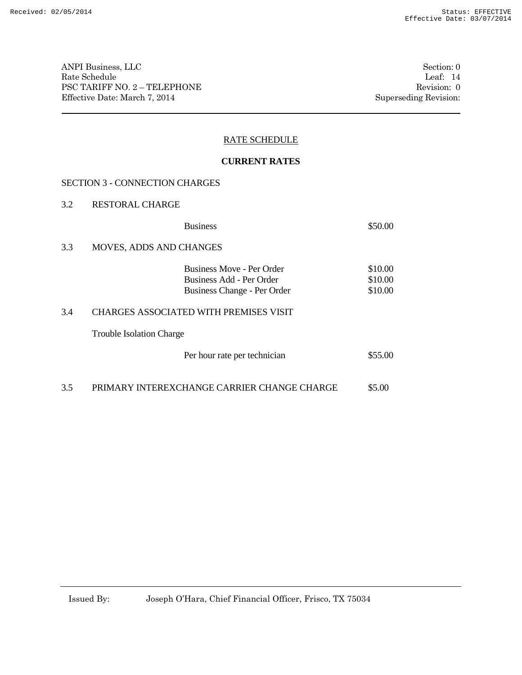ANPI Business, LLC Section: 0 Rate Schedule Leaf: 14 PSC TARIFF NO. 2 – TELEPHONE Revision: 0 Effective Date: March 7, 2014 Superseding Revision:

### RATE SCHEDULE

### **CURRENT RATES**

### SECTION 3 - CONNECTION CHARGES

3.2 RESTORAL CHARGE

|     | <b>Business</b>                                                                      | \$50.00                       |
|-----|--------------------------------------------------------------------------------------|-------------------------------|
| 3.3 | <b>MOVES, ADDS AND CHANGES</b>                                                       |                               |
|     | Business Move - Per Order<br>Business Add - Per Order<br>Business Change - Per Order | \$10.00<br>\$10.00<br>\$10.00 |
| 3.4 | <b>CHARGES ASSOCIATED WITH PREMISES VISIT</b>                                        |                               |
|     | <b>Trouble Isolation Charge</b>                                                      |                               |
|     | Per hour rate per technician                                                         | \$55.00                       |

3.5 PRIMARY INTEREXCHANGE CARRIER CHANGE CHARGE \$5.00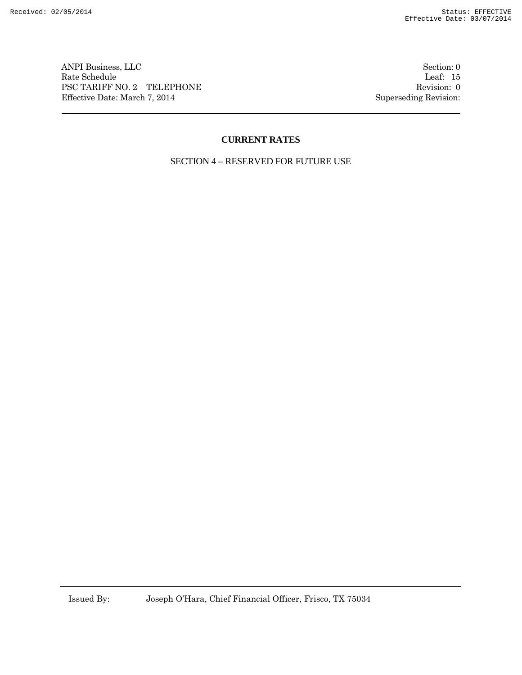ANPI Business, LLC Section: 0 Rate Schedule Leaf: 15 PSC TARIFF NO. 2 – TELEPHONE Revision: 0 Effective Date: March 7, 2014 Superseding Revision:

# **CURRENT RATES**

SECTION 4 – RESERVED FOR FUTURE USE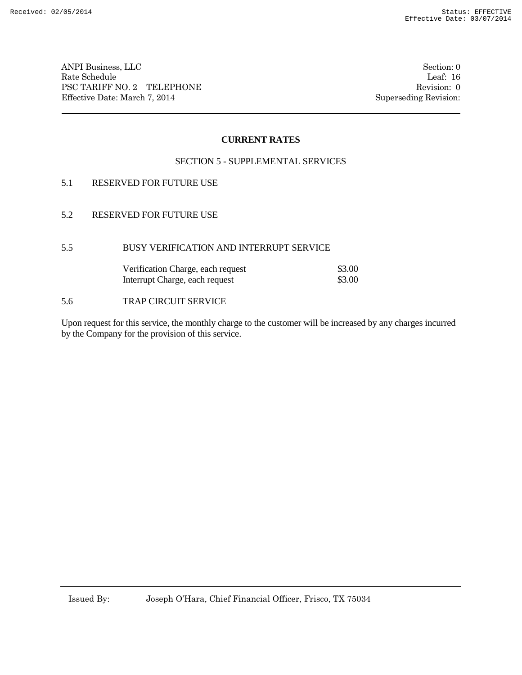ANPI Business, LLC Section: 0 Rate Schedule Leaf: 16 PSC TARIFF NO. 2 – TELEPHONE Revision: 0 Effective Date: March 7, 2014 Superseding Revision:

## **CURRENT RATES**

# SECTION 5 - SUPPLEMENTAL SERVICES

# 5.1 RESERVED FOR FUTURE USE

5.2 RESERVED FOR FUTURE USE

### 5.5 BUSY VERIFICATION AND INTERRUPT SERVICE

| Verification Charge, each request | \$3.00 |
|-----------------------------------|--------|
| Interrupt Charge, each request    | \$3.00 |

5.6 TRAP CIRCUIT SERVICE

Upon request for this service, the monthly charge to the customer will be increased by any charges incurred by the Company for the provision of this service.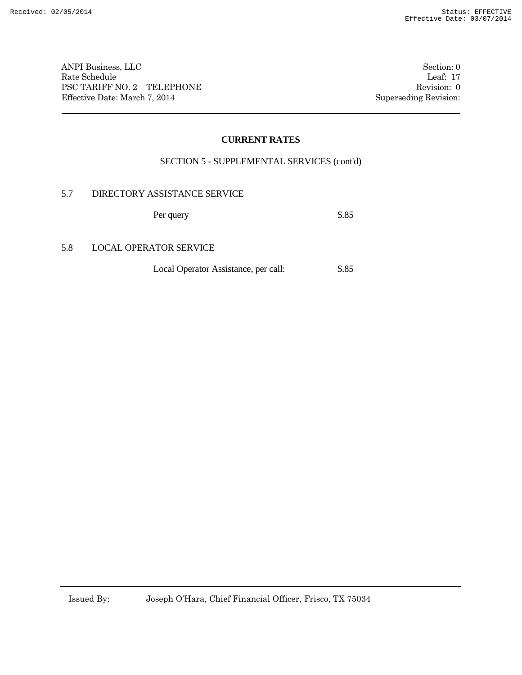ANPI Business, LLC Section: 0 Rate Schedule Leaf: 17 PSC TARIFF NO. 2 – TELEPHONE Revision: 0 Effective Date: March 7, 2014 Superseding Revision:

## **CURRENT RATES**

### SECTION 5 - SUPPLEMENTAL SERVICES (cont'd)

## 5.7 DIRECTORY ASSISTANCE SERVICE

Per query \$.85

### 5.8 LOCAL OPERATOR SERVICE

Local Operator Assistance, per call: \$.85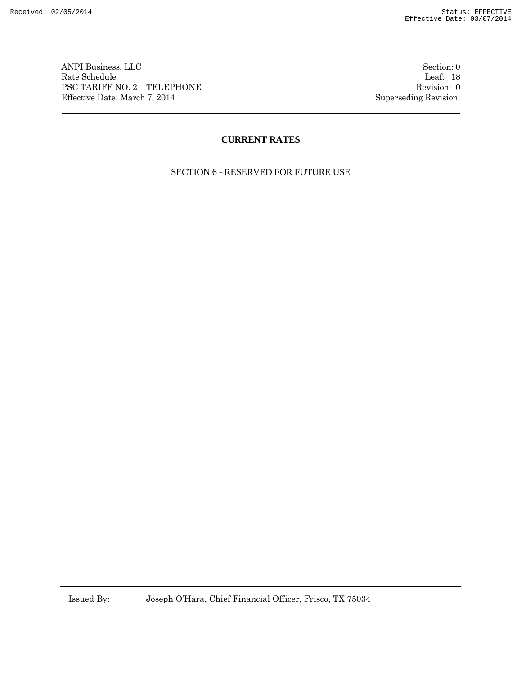ANPI Business, LLC Section: 0 Rate Schedule Leaf: 18 PSC TARIFF NO. 2 – TELEPHONE Revision: 0 Effective Date: March 7, 2014 Superseding Revision:

# **CURRENT RATES**

SECTION 6 - RESERVED FOR FUTURE USE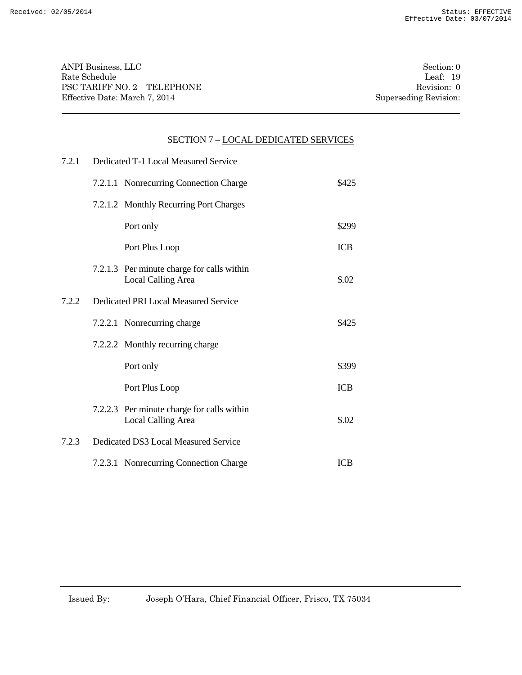ANPI Business, LLC Section: 0 Rate Schedule Leaf: 19 PSC TARIFF NO. 2 – TELEPHONE Revision: 0 Effective Date: March 7, 2014 Superseding Revision:

### SECTION 7 – LOCAL DEDICATED SERVICES

| 7.2.1 | Dedicated T-1 Local Measured Service |                                                                         |            |  |  |
|-------|--------------------------------------|-------------------------------------------------------------------------|------------|--|--|
|       |                                      | 7.2.1.1 Nonrecurring Connection Charge                                  | \$425      |  |  |
|       |                                      | 7.2.1.2 Monthly Recurring Port Charges                                  |            |  |  |
|       |                                      | Port only                                                               | \$299      |  |  |
|       |                                      | Port Plus Loop                                                          | <b>ICB</b> |  |  |
|       |                                      | 7.2.1.3 Per minute charge for calls within<br><b>Local Calling Area</b> | \$.02      |  |  |
| 7.2.2 | Dedicated PRI Local Measured Service |                                                                         |            |  |  |
|       |                                      | 7.2.2.1 Nonrecurring charge                                             | \$425      |  |  |
|       |                                      | 7.2.2.2 Monthly recurring charge                                        |            |  |  |
|       |                                      | Port only                                                               | \$399      |  |  |
|       |                                      | Port Plus Loop                                                          | <b>ICB</b> |  |  |
|       |                                      | 7.2.2.3 Per minute charge for calls within<br><b>Local Calling Area</b> | \$.02      |  |  |
| 7.2.3 |                                      | Dedicated DS3 Local Measured Service                                    |            |  |  |
|       |                                      | 7.2.3.1 Nonrecurring Connection Charge                                  | <b>ICB</b> |  |  |
|       |                                      |                                                                         |            |  |  |